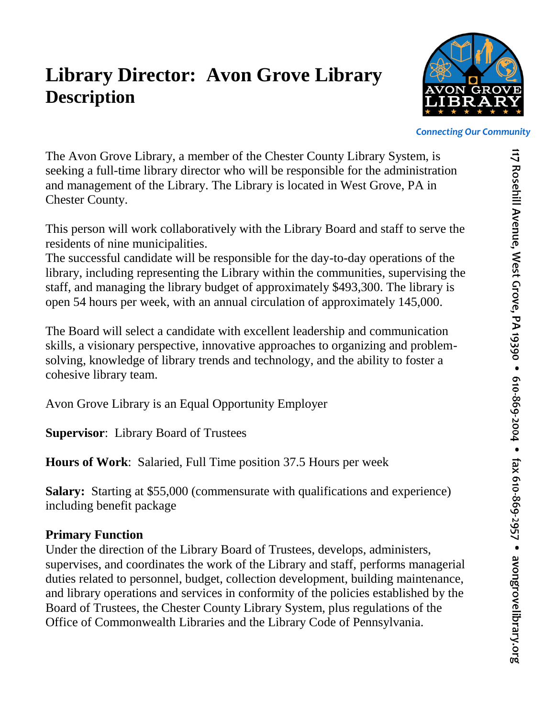## **Library Director: Avon Grove Library Description**



*Connecting Our Community*

The Avon Grove Library, a member of the Chester County Library System, is seeking a full-time library director who will be responsible for the administration and management of the Library. The Library is located in West Grove, PA in Chester County.

This person will work collaboratively with the Library Board and staff to serve the residents of nine municipalities.

The successful candidate will be responsible for the day-to-day operations of the library, including representing the Library within the communities, supervising the staff, and managing the library budget of approximately \$493,300. The library is open 54 hours per week, with an annual circulation of approximately 145,000.

The Board will select a candidate with excellent leadership and communication skills, a visionary perspective, innovative approaches to organizing and problemsolving, knowledge of library trends and technology, and the ability to foster a cohesive library team.

Avon Grove Library is an Equal Opportunity Employer

**Supervisor**: Library Board of Trustees

**Hours of Work**: Salaried, Full Time position 37.5 Hours per week

**Salary:** Starting at \$55,000 (commensurate with qualifications and experience) including benefit package

## **Primary Function**

Under the direction of the Library Board of Trustees, develops, administers, supervises, and coordinates the work of the Library and staff, performs managerial duties related to personnel, budget, collection development, building maintenance, and library operations and services in conformity of the policies established by the Board of Trustees, the Chester County Library System, plus regulations of the Office of Commonwealth Libraries and the Library Code of Pennsylvania.